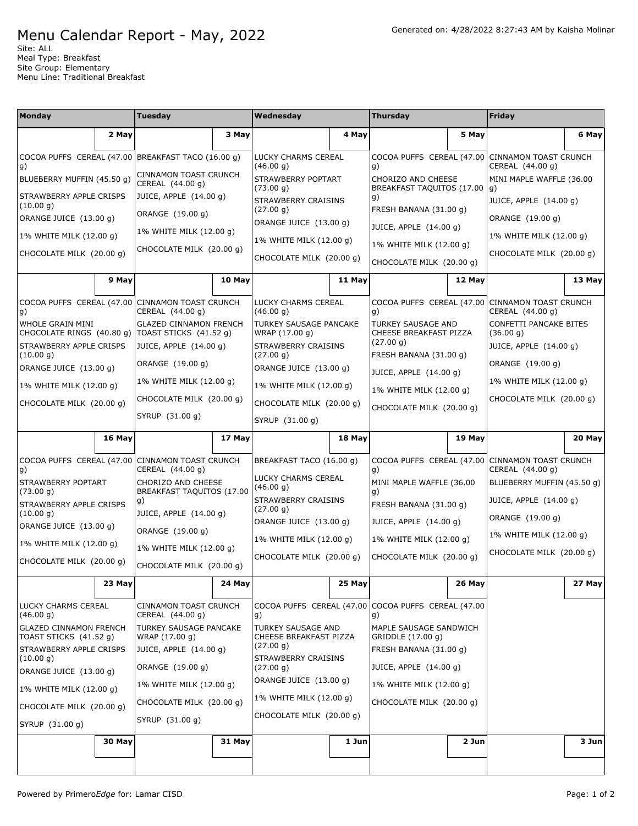## Menu Calendar Report - May, 2022

Site: ALL Meal Type: Breakfast Site Group: Elementary Menu Line: Traditional Breakfast

| <b>Monday</b>                                           |        | <b>Tuesday</b>                                          |        | Wednesday                                    |        | <b>Thursday</b>                                                                                                                          |        | Friday                                                              |        |
|---------------------------------------------------------|--------|---------------------------------------------------------|--------|----------------------------------------------|--------|------------------------------------------------------------------------------------------------------------------------------------------|--------|---------------------------------------------------------------------|--------|
|                                                         | 2 May  |                                                         | 3 May  |                                              | 4 May  |                                                                                                                                          | 5 May  |                                                                     | 6 May  |
|                                                         |        | COCOA PUFFS CEREAL (47.00 BREAKFAST TACO (16.00 g)      |        | LUCKY CHARMS CEREAL<br>(46.00 g)             |        | COCOA PUFFS CEREAL (47.00 CINNAMON TOAST CRUNCH                                                                                          |        | CEREAL (44.00 g)                                                    |        |
| g)<br>BLUEBERRY MUFFIN (45.50 g)                        |        | <b>CINNAMON TOAST CRUNCH</b><br>CEREAL (44.00 g)        |        | STRAWBERRY POPTART<br>(73.00 g)              |        | g)<br>CHORIZO AND CHEESE<br>BREAKFAST TAQUITOS (17.00<br>g)<br>FRESH BANANA (31.00 g)<br>JUICE, APPLE (14.00 g)                          |        | MINI MAPLE WAFFLE (36.00<br>g)                                      |        |
| STRAWBERRY APPLE CRISPS<br>(10.00 g)                    |        | JUICE, APPLE (14.00 g)                                  |        | STRAWBERRY CRAISINS                          |        |                                                                                                                                          |        | JUICE, APPLE (14.00 g)                                              |        |
| ORANGE JUICE (13.00 g)                                  |        | ORANGE (19.00 g)                                        |        | (27.00 g)<br>ORANGE JUICE (13.00 g)          |        |                                                                                                                                          |        | ORANGE (19.00 g)                                                    |        |
| 1% WHITE MILK (12.00 g)                                 |        | 1% WHITE MILK (12.00 g)                                 |        | 1% WHITE MILK (12.00 g)                      |        |                                                                                                                                          |        | 1% WHITE MILK (12.00 g)                                             |        |
| CHOCOLATE MILK (20.00 g)                                |        | CHOCOLATE MILK (20.00 g)                                |        | CHOCOLATE MILK (20.00 g)                     |        | 1% WHITE MILK (12.00 g)<br>CHOCOLATE MILK (20.00 g)                                                                                      |        | CHOCOLATE MILK (20.00 g)                                            |        |
|                                                         |        |                                                         | 10 May |                                              |        |                                                                                                                                          |        |                                                                     | 13 May |
|                                                         | 9 May  |                                                         |        |                                              | 11 May |                                                                                                                                          | 12 May |                                                                     |        |
| COCOA PUFFS CEREAL (47.00 CINNAMON TOAST CRUNCH<br>g)   |        | CEREAL (44.00 g)                                        |        | LUCKY CHARMS CEREAL<br>(46.00 g)             |        | COCOA PUFFS CEREAL (47.00 CINNAMON TOAST CRUNCH<br>g)                                                                                    |        | CEREAL (44.00 g)                                                    |        |
| WHOLE GRAIN MINI<br>CHOCOLATE RINGS (40.80 g)           |        | <b>GLAZED CINNAMON FRENCH</b><br>TOAST STICKS (41.52 g) |        | TURKEY SAUSAGE PANCAKE<br>WRAP (17.00 g)     |        | TURKEY SAUSAGE AND<br>CHEESE BREAKFAST PIZZA<br>(27.00 g)<br>FRESH BANANA (31.00 g)<br>JUICE, APPLE (14.00 g)<br>1% WHITE MILK (12.00 g) |        | CONFETTI PANCAKE BITES<br>(36.00 g)                                 |        |
| STRAWBERRY APPLE CRISPS<br>(10.00 g)                    |        | JUICE, APPLE (14.00 q)                                  |        | <b>STRAWBERRY CRAISINS</b><br>(27.00 g)      |        |                                                                                                                                          |        | JUICE, APPLE (14.00 g)                                              |        |
| ORANGE JUICE (13.00 g)                                  |        | ORANGE (19.00 g)                                        |        | ORANGE JUICE (13.00 g)                       |        |                                                                                                                                          |        | ORANGE (19.00 g)                                                    |        |
| 1% WHITE MILK (12.00 g)                                 |        | 1% WHITE MILK (12.00 g)                                 |        | 1% WHITE MILK (12.00 g)                      |        |                                                                                                                                          |        | 1% WHITE MILK (12.00 g)                                             |        |
| CHOCOLATE MILK (20.00 g)                                |        | CHOCOLATE MILK (20.00 g)                                |        | CHOCOLATE MILK (20.00 g)                     |        | CHOCOLATE MILK (20.00 g)                                                                                                                 |        | CHOCOLATE MILK (20.00 g)                                            |        |
|                                                         |        | SYRUP (31.00 g)                                         |        | SYRUP (31.00 g)                              |        |                                                                                                                                          |        |                                                                     |        |
|                                                         | 16 May |                                                         | 17 May |                                              | 18 May |                                                                                                                                          | 19 May |                                                                     | 20 May |
| COCOA PUFFS CEREAL (47.00<br>g)                         |        | CINNAMON TOAST CRUNCH<br>CEREAL (44.00 g)               |        | BREAKFAST TACO (16.00 g)                     |        | g)                                                                                                                                       |        | COCOA PUFFS CEREAL (47.00 CINNAMON TOAST CRUNCH<br>CEREAL (44.00 g) |        |
| STRAWBERRY POPTART<br>(73.00 g)                         |        | CHORIZO AND CHEESE<br>BREAKFAST TAQUITOS (17.00         |        | LUCKY CHARMS CEREAL<br>(46.00 g)             |        | MINI MAPLE WAFFLE (36.00<br>BLUEBERRY MUFFIN (45.50 g)<br>g)                                                                             |        |                                                                     |        |
| STRAWBERRY APPLE CRISPS                                 |        | g)                                                      |        | STRAWBERRY CRAISINS<br>(27.00 g)             |        | FRESH BANANA (31.00 g)                                                                                                                   |        | JUICE, APPLE (14.00 g)                                              |        |
| (10.00 g)<br>ORANGE JUICE (13.00 g)                     |        | JUICE, APPLE (14.00 g)<br>ORANGE (19.00 g)              |        | ORANGE JUICE (13.00 g)                       |        | JUICE, APPLE (14.00 g)                                                                                                                   |        | ORANGE (19.00 g)                                                    |        |
| 1% WHITE MILK (12.00 g)                                 |        | 1% WHITE MILK (12.00 g)                                 |        | 1% WHITE MILK (12.00 q)                      |        | 1% WHITE MILK (12.00 g)                                                                                                                  |        | 1% WHITE MILK (12.00 g)                                             |        |
| CHOCOLATE MILK (20.00 g)                                |        | CHOCOLATE MILK (20.00 g)                                |        | CHOCOLATE MILK (20.00 q)                     |        | CHOCOLATE MILK (20.00 g)                                                                                                                 |        | CHOCOLATE MILK (20.00 g)                                            |        |
|                                                         | 23 May |                                                         | 24 May |                                              | 25 May |                                                                                                                                          | 26 May |                                                                     | 27 May |
| LUCKY CHARMS CEREAL<br>(46.00 g)                        |        | <b>CINNAMON TOAST CRUNCH</b><br>CEREAL (44.00 g)        |        | g)                                           |        | COCOA PUFFS CEREAL (47.00 COCOA PUFFS CEREAL (47.00<br>g)                                                                                |        |                                                                     |        |
| <b>GLAZED CINNAMON FRENCH</b><br>TOAST STICKS (41.52 g) |        | TURKEY SAUSAGE PANCAKE<br>WRAP (17.00 g)                |        | TURKEY SAUSAGE AND<br>CHEESE BREAKFAST PIZZA |        | MAPLE SAUSAGE SANDWICH<br>GRIDDLE (17.00 g)                                                                                              |        |                                                                     |        |
| STRAWBERRY APPLE CRISPS<br>(10.00 g)                    |        | JUICE, APPLE (14.00 g)                                  |        | (27.00 g)<br>STRAWBERRY CRAISINS             |        | FRESH BANANA (31.00 g)                                                                                                                   |        |                                                                     |        |
| ORANGE JUICE (13.00 g)                                  |        | ORANGE (19.00 g)                                        |        | (27.00 g)                                    |        | JUICE, APPLE (14.00 g)                                                                                                                   |        |                                                                     |        |
| 1% WHITE MILK (12.00 g)                                 |        | 1% WHITE MILK (12.00 g)                                 |        | ORANGE JUICE (13.00 g)                       |        | 1% WHITE MILK (12.00 g)                                                                                                                  |        |                                                                     |        |
| CHOCOLATE MILK (20.00 g)                                |        | CHOCOLATE MILK (20.00 g)                                |        | 1% WHITE MILK (12.00 g)                      |        | CHOCOLATE MILK (20.00 g)                                                                                                                 |        |                                                                     |        |
| SYRUP (31.00 g)                                         |        | SYRUP (31.00 g)                                         |        | CHOCOLATE MILK (20.00 g)                     |        |                                                                                                                                          |        |                                                                     |        |
|                                                         | 30 May |                                                         | 31 May |                                              | 1 Jun  |                                                                                                                                          | 2 Jun  |                                                                     | 3 Jun  |
|                                                         |        |                                                         |        |                                              |        |                                                                                                                                          |        |                                                                     |        |
|                                                         |        |                                                         |        |                                              |        |                                                                                                                                          |        |                                                                     |        |